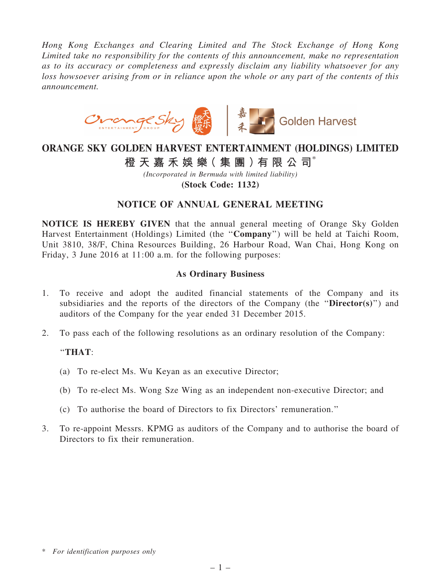*Hong Kong Exchanges and Clearing Limited and The Stock Exchange of Hong Kong Limited take no responsibility for the contents of this announcement, make no representation as to its accuracy or completeness and expressly disclaim any liability whatsoever for any loss howsoever arising from or in reliance upon the whole or any part of the contents of this announcement.*



# ORANGE SKY GOLDEN HARVEST ENTERTAINMENT (HOLDINGS) LIMITED

## 橙 天 嘉 禾 娛 樂 (集 團 ) 有 限 公 司 $^*$

*(Incorporated in Bermuda with limited liability)* (Stock Code: 1132)

### NOTICE OF ANNUAL GENERAL MEETING

NOTICE IS HEREBY GIVEN that the annual general meeting of Orange Sky Golden Harvest Entertainment (Holdings) Limited (the ''Company'') will be held at Taichi Room, Unit 3810, 38/F, China Resources Building, 26 Harbour Road, Wan Chai, Hong Kong on Friday, 3 June 2016 at 11:00 a.m. for the following purposes:

#### As Ordinary Business

- 1. To receive and adopt the audited financial statements of the Company and its subsidiaries and the reports of the directors of the Company (the " $\text{Directory}(s)$ ") and auditors of the Company for the year ended 31 December 2015.
- 2. To pass each of the following resolutions as an ordinary resolution of the Company:

#### ''THAT:

- (a) To re-elect Ms. Wu Keyan as an executive Director;
- (b) To re-elect Ms. Wong Sze Wing as an independent non-executive Director; and
- (c) To authorise the board of Directors to fix Directors' remuneration.''
- 3. To re-appoint Messrs. KPMG as auditors of the Company and to authorise the board of Directors to fix their remuneration.

<sup>\*</sup> *For identification purposes only*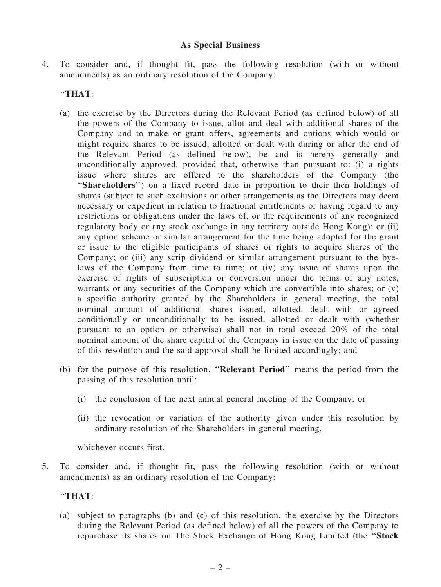#### As Special Business

4. To consider and, if thought fit, pass the following resolution (with or without amendments) as an ordinary resolution of the Company:

#### ''THAT:

- (a) the exercise by the Directors during the Relevant Period (as defined below) of all the powers of the Company to issue, allot and deal with additional shares of the Company and to make or grant offers, agreements and options which would or might require shares to be issued, allotted or dealt with during or after the end of the Relevant Period (as defined below), be and is hereby generally and unconditionally approved, provided that, otherwise than pursuant to: (i) a rights issue where shares are offered to the shareholders of the Company (the "Shareholders") on a fixed record date in proportion to their then holdings of shares (subject to such exclusions or other arrangements as the Directors may deem necessary or expedient in relation to fractional entitlements or having regard to any restrictions or obligations under the laws of, or the requirements of any recognized regulatory body or any stock exchange in any territory outside Hong Kong); or (ii) any option scheme or similar arrangement for the time being adopted for the grant or issue to the eligible participants of shares or rights to acquire shares of the Company; or (iii) any scrip dividend or similar arrangement pursuant to the byelaws of the Company from time to time; or (iv) any issue of shares upon the exercise of rights of subscription or conversion under the terms of any notes, warrants or any securities of the Company which are convertible into shares; or (v) a specific authority granted by the Shareholders in general meeting, the total nominal amount of additional shares issued, allotted, dealt with or agreed conditionally or unconditionally to be issued, allotted or dealt with (whether pursuant to an option or otherwise) shall not in total exceed 20% of the total nominal amount of the share capital of the Company in issue on the date of passing of this resolution and the said approval shall be limited accordingly; and
- (b) for the purpose of this resolution, ''Relevant Period'' means the period from the passing of this resolution until:
	- (i) the conclusion of the next annual general meeting of the Company; or
	- (ii) the revocation or variation of the authority given under this resolution by ordinary resolution of the Shareholders in general meeting,

whichever occurs first.

5. To consider and, if thought fit, pass the following resolution (with or without amendments) as an ordinary resolution of the Company:

#### ''THAT:

(a) subject to paragraphs (b) and (c) of this resolution, the exercise by the Directors during the Relevant Period (as defined below) of all the powers of the Company to repurchase its shares on The Stock Exchange of Hong Kong Limited (the ''Stock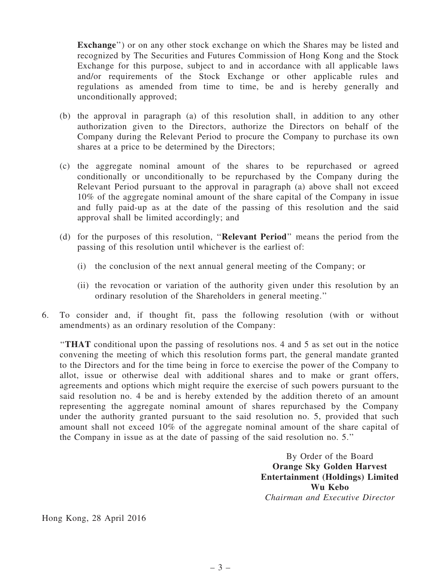Exchange'') or on any other stock exchange on which the Shares may be listed and recognized by The Securities and Futures Commission of Hong Kong and the Stock Exchange for this purpose, subject to and in accordance with all applicable laws and/or requirements of the Stock Exchange or other applicable rules and regulations as amended from time to time, be and is hereby generally and unconditionally approved;

- (b) the approval in paragraph (a) of this resolution shall, in addition to any other authorization given to the Directors, authorize the Directors on behalf of the Company during the Relevant Period to procure the Company to purchase its own shares at a price to be determined by the Directors;
- (c) the aggregate nominal amount of the shares to be repurchased or agreed conditionally or unconditionally to be repurchased by the Company during the Relevant Period pursuant to the approval in paragraph (a) above shall not exceed 10% of the aggregate nominal amount of the share capital of the Company in issue and fully paid-up as at the date of the passing of this resolution and the said approval shall be limited accordingly; and
- (d) for the purposes of this resolution, ''Relevant Period'' means the period from the passing of this resolution until whichever is the earliest of:
	- (i) the conclusion of the next annual general meeting of the Company; or
	- (ii) the revocation or variation of the authority given under this resolution by an ordinary resolution of the Shareholders in general meeting.''
- 6. To consider and, if thought fit, pass the following resolution (with or without amendments) as an ordinary resolution of the Company:

''THAT conditional upon the passing of resolutions nos. 4 and 5 as set out in the notice convening the meeting of which this resolution forms part, the general mandate granted to the Directors and for the time being in force to exercise the power of the Company to allot, issue or otherwise deal with additional shares and to make or grant offers, agreements and options which might require the exercise of such powers pursuant to the said resolution no. 4 be and is hereby extended by the addition thereto of an amount representing the aggregate nominal amount of shares repurchased by the Company under the authority granted pursuant to the said resolution no. 5, provided that such amount shall not exceed 10% of the aggregate nominal amount of the share capital of the Company in issue as at the date of passing of the said resolution no. 5.''

> By Order of the Board Orange Sky Golden Harvest Entertainment (Holdings) Limited Wu Kebo *Chairman and Executive Director*

Hong Kong, 28 April 2016